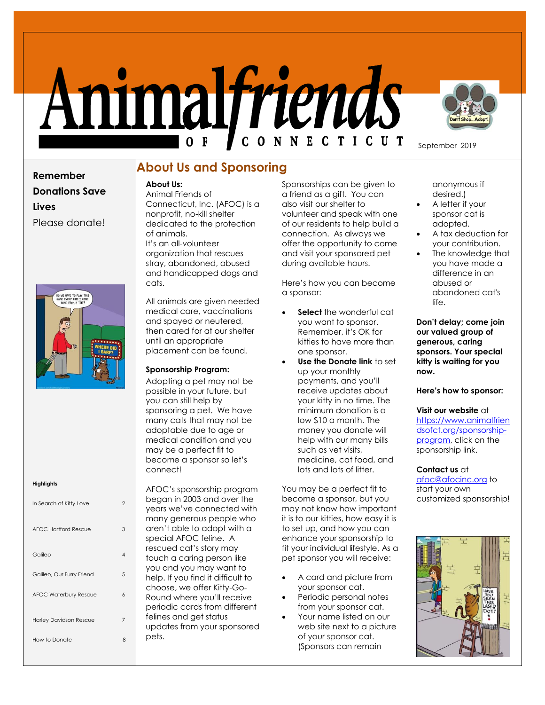# Animalfriends



September 2019

**Remember Donations Save Lives** Please donate!



### **Highlights**

| In Search of Kitty Love       |   |
|-------------------------------|---|
| AFOC Hartford Rescue          | 3 |
| Galileo                       |   |
| Galileo, Our Furry Friend     | 5 |
| <b>AFOC Waterbury Rescue</b>  | h |
| <b>Harley Davidson Rescue</b> | 7 |
| How to Donate                 | я |

# **About Us and Sponsoring**

# **About Us:**

Animal Friends of Connecticut, Inc. (AFOC) is a nonprofit, no-kill shelter dedicated to the protection of animals. It's an all-volunteer organization that rescues stray, abandoned, abused and handicapped dogs and cats.

All animals are given needed medical care, vaccinations and spayed or neutered, then cared for at our shelter until an appropriate placement can be found.

## **Sponsorship Program:**

Adopting a pet may not be possible in your future, but you can still help by sponsoring a pet. We have many cats that may not be adoptable due to age or medical condition and you may be a perfect fit to become a sponsor so let's connect!

AFOC's sponsorship program began in 2003 and over the years we've connected with many generous people who aren't able to adopt with a special AFOC feline. A rescued cat's story may touch a caring person like you and you may want to help. If you find it difficult to choose, we offer Kitty-Go-Round where you'll receive periodic cards from different felines and get status updates from your sponsored pets.

Sponsorships can be given to a friend as a gift. You can also visit our shelter to volunteer and speak with one of our residents to help build a connection. As always we offer the opportunity to come and visit your sponsored pet during available hours.

Here's how you can become a sponsor:

- **Select** the wonderful cat you want to sponsor. Remember, it's OK for kitties to have more than one sponsor.
- **Use the Donate link** to set up your monthly payments, and you'll receive updates about your kitty in no time. The minimum donation is a low \$10 a month. The money you donate will help with our many bills such as vet visits, medicine, cat food, and lots and lots of litter.

You may be a perfect fit to become a sponsor, but you may not know how important it is to our kitties, how easy it is to set up, and how you can enhance your sponsorship to fit your individual lifestyle. As a pet sponsor you will receive:

- A card and picture from your sponsor cat.
- Periodic personal notes from your sponsor cat.
- Your name listed on our web site next to a picture of your sponsor cat. (Sponsors can remain

anonymous if desired.)

- A letter if your sponsor cat is adopted.
- A tax deduction for your contribution.
- The knowledge that you have made a difference in an abused or abandoned cat's  $l$ ife.

**Don't delay; come join our valued group of generous, caring sponsors. Your special kitty is waiting for you now.** 

## **Here's how to sponsor:**

**Visit our website** at [https://www.animalfrien](https://www.animalfriendsofct.org/sponsorship-program) [dsofct.org/sponsorship](https://www.animalfriendsofct.org/sponsorship-program)[program,](https://www.animalfriendsofct.org/sponsorship-program) click on the sponsorship link.

# **Contact us** at

[afoc@afocinc.org](mailto:afoc@afocinc.org) to start your own customized sponsorship!

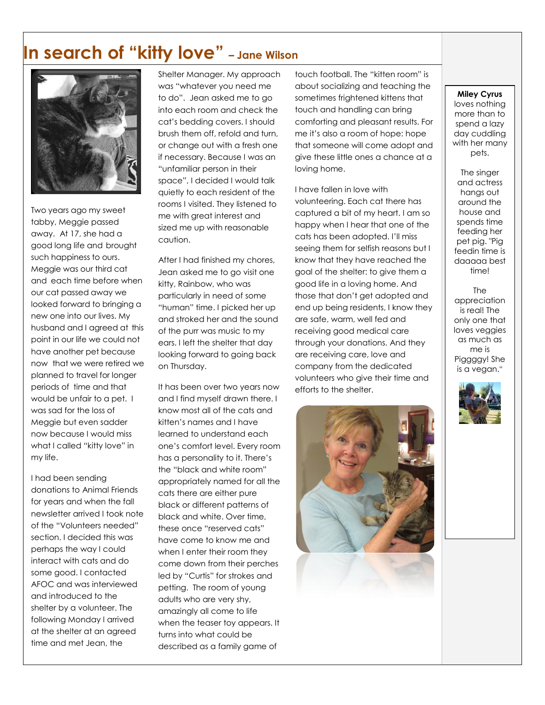# **In search of "kitty love" – Jane Wilson**



Two years ago my sweet tabby, Meggie passed away. At 17, she had a good long life and brought such happiness to ours. Meggie was our third cat and each time before when our cat passed away we looked forward to bringing a new one into our lives. My husband and I agreed at this point in our life we could not have another pet because now that we were retired we planned to travel for longer periods of time and that would be unfair to a pet. I was sad for the loss of Meggie but even sadder now because I would miss what I called "kitty love" in my life.

I had been sending donations to Animal Friends for years and when the fall newsletter arrived I took note of the "Volunteers needed" section. I decided this was perhaps the way I could interact with cats and do some good. I contacted AFOC and was interviewed and introduced to the shelter by a volunteer. The following Monday I arrived at the shelter at an agreed time and met Jean, the

Shelter Manager. My approach was "whatever you need me to do". Jean asked me to go into each room and check the cat's bedding covers. I should brush them off, refold and turn, or change out with a fresh one if necessary. Because I was an "unfamiliar person in their space", I decided I would talk quietly to each resident of the rooms I visited. They listened to me with great interest and sized me up with reasonable caution.

After I had finished my chores, Jean asked me to go visit one kitty, Rainbow, who was particularly in need of some "human" time. I picked her up and stroked her and the sound of the purr was music to my ears. I left the shelter that day looking forward to going back on Thursday.

It has been over two years now and I find myself drawn there. I know most all of the cats and kitten's names and I have learned to understand each one's comfort level. Every room has a personality to it. There's the "black and white room" appropriately named for all the cats there are either pure black or different patterns of black and white. Over time, these once "reserved cats" have come to know me and when I enter their room they come down from their perches led by "Curtis" for strokes and petting. The room of young adults who are very shy, amazingly all come to life when the teaser toy appears. It turns into what could be described as a family game of

touch football. The "kitten room" is about socializing and teaching the sometimes frightened kittens that touch and handling can bring comforting and pleasant results. For me it's also a room of hope: hope that someone will come adopt and give these little ones a chance at a loving home.

I have fallen in love with volunteering. Each cat there has captured a bit of my heart. I am so happy when I hear that one of the cats has been adopted. I'll miss seeing them for selfish reasons but I know that they have reached the goal of the shelter: to give them a good life in a loving home. And those that don't get adopted and end up being residents, I know they are safe, warm, well fed and receiving good medical care through your donations. And they are receiving care, love and company from the dedicated volunteers who give their time and efforts to the shelter.



### **Miley Cyrus**

loves nothing more than to spend a lazy day cuddling with her many pets.

The singer and actress hangs out around the house and spends time feeding her pet pig. "Pig feedin time is daaaaa best time!

The appreciation is real! The only one that loves veggies as much as me is Piggggy! She is a vegan."

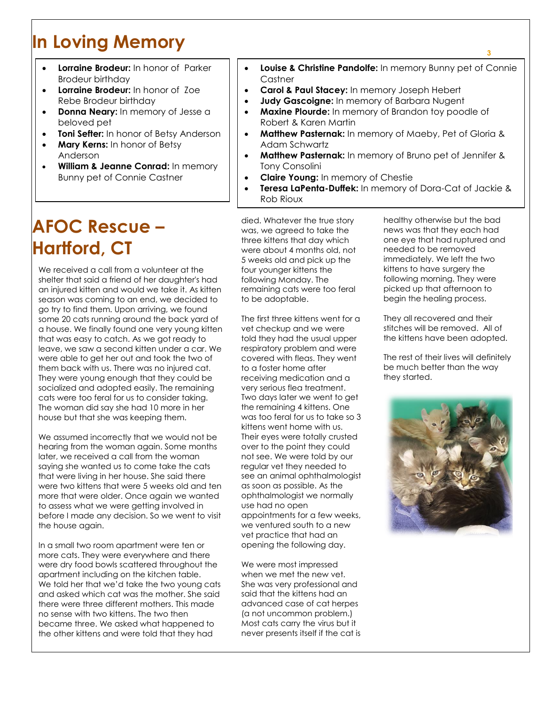# **In Loving Memory**

- **Lorraine Brodeur:** In honor of Parker Brodeur birthday
- **Lorraine Brodeur:** In honor of Zoe Rebe Brodeur birthday
- **Donna Neary:** In memory of Jesse a beloved pet
- **Toni Sefter:** In honor of Betsy Anderson
- **Mary Kerns:** In honor of Betsy Anderson
- **William & Jeanne Conrad:** In memory Bunny pet of Connie Castner

# **AFOC Rescue – Hartford, CT**

We received a call from a volunteer at the shelter that said a friend of her daughter's had an injured kitten and would we take it. As kitten season was coming to an end, we decided to go try to find them. Upon arriving, we found some 20 cats running around the back yard of a house. We finally found one very young kitten that was easy to catch. As we got ready to leave, we saw a second kitten under a car. We were able to get her out and took the two of them back with us. There was no injured cat. They were young enough that they could be socialized and adopted easily. The remaining cats were too feral for us to consider taking. The woman did say she had 10 more in her house but that she was keeping them.

We assumed incorrectly that we would not be hearing from the woman again. Some months later, we received a call from the woman saying she wanted us to come take the cats that were living in her house. She said there were two kittens that were 5 weeks old and ten more that were older. Once again we wanted to assess what we were getting involved in before I made any decision. So we went to visit the house again.

In a small two room apartment were ten or more cats. They were everywhere and there were dry food bowls scattered throughout the apartment including on the kitchen table. We told her that we'd take the two young cats and asked which cat was the mother. She said there were three different mothers. This made no sense with two kittens. The two then became three. We asked what happened to the other kittens and were told that they had

 **Louise & Christine Pandolfe:** In memory Bunny pet of Connie **Castner** 

- **Carol & Paul Stacey:** In memory Joseph Hebert
	- **Judy Gascoigne:** In memory of Barbara Nugent
- **Maxine Plourde:** In memory of Brandon toy poodle of Robert & Karen Martin
- **Matthew Pasternak:** In memory of Maeby, Pet of Gloria & Adam Schwartz
- **Matthew Pasternak:** In memory of Bruno pet of Jennifer & Tony Consolini
- **Claire Young:** In memory of Chestie
- **Teresa LaPenta-Duffek:** In memory of Dora-Cat of Jackie & Rob Rioux

died. Whatever the true story was, we agreed to take the three kittens that day which were about 4 months old, not 5 weeks old and pick up the four younger kittens the following Monday. The remaining cats were too feral to be adoptable.

The first three kittens went for a vet checkup and we were told they had the usual upper respiratory problem and were covered with fleas. They went to a foster home after receiving medication and a very serious flea treatment. Two days later we went to get the remaining 4 kittens. One was too feral for us to take so 3 kittens went home with us. Their eyes were totally crusted over to the point they could not see. We were told by our regular vet they needed to see an animal ophthalmologist as soon as possible. As the ophthalmologist we normally use had no open appointments for a few weeks, we ventured south to a new vet practice that had an opening the following day.

We were most impressed when we met the new vet. She was very professional and said that the kittens had an advanced case of cat herpes (a not uncommon problem.) Most cats carry the virus but it never presents itself if the cat is healthy otherwise but the bad news was that they each had one eye that had ruptured and needed to be removed immediately. We left the two kittens to have surgery the following morning. They were picked up that afternoon to begin the healing process.

They all recovered and their stitches will be removed. All of the kittens have been adopted.

The rest of their lives will definitely be much better than the way they started.

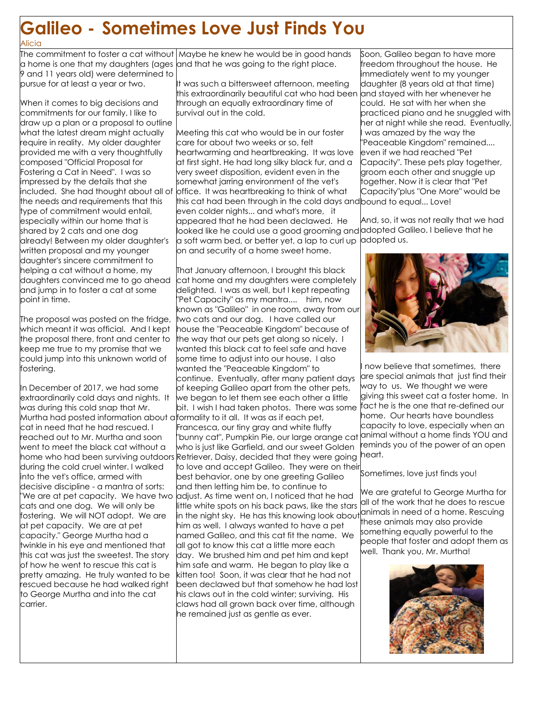# **Galileo - Sometimes Love Just Finds You** Alicia

The commitment to foster a cat without a home is one that my daughters (ages and that he was going to the right place. 9 and 11 years old) were determined to pursue for at least a year or two. Maybe he knew he would be in good hands

When it comes to big decisions and commitments for our family, I like to draw up a plan or a proposal to outline what the latest dream might actually require in reality. My older daughter provided me with a very thoughtfully composed "Official Proposal for Fostering a Cat in Need". I was so impressed by the details that she included. She had thought about all of the needs and requirements that this type of commitment would entail, especially within our home that is shared by 2 cats and one dog already! Between my older daughter's written proposal and my younger daughter's sincere commitment to helping a cat without a home, my daughters convinced me to go ahead and jump in to foster a cat at some point in time.

The proposal was posted on the fridae,  $\,$ which meant it was official. And I kept the proposal there, front and center to keep me true to my promise that we could jump into this unknown world of fostering.

In December of 2017, we had some extraordinarily cold days and nights. It was during this cold snap that Mr. Murtha had posted information about a formality to it all. It was as if each pet, cat in need that he had rescued. I reached out to Mr. Murtha and soon went to meet the black cat without a during the cold cruel winter. I walked into the vet's office, armed with decisive discipline - a mantra of sorts: cats and one dog. We will only be fostering. We will NOT adopt. We are at pet capacity. We are at pet capacity." George Murtha had a twinkle in his eye and mentioned that this cat was just the sweetest. The story of how he went to rescue this cat is pretty amazing. He truly wanted to be rescued because he had walked right to George Murtha and into the cat carrier.

It was such a bittersweet afternoon, meeting this extraordinarily beautiful cat who had been through an equally extraordinary time of survival out in the cold.

Meeting this cat who would be in our foster care for about two weeks or so, felt heartwarming and heartbreaking. It was love at first sight. He had long silky black fur, and a very sweet disposition, evident even in the somewhat jarring environment of the vet's office. It was heartbreaking to think of what this cat had been through in the cold days and bound to equal... Love! even colder nights... and what's more, it appeared that he had been declawed. He looked like he could use a good grooming and a soft warm bed, or better yet, a lap to curl up on and security of a home sweet home.

home who had been surviving outdoors Retriever, Daisy, decided that they were going "We are at pet capacity. We have two |adjust. As time went on, I noticed that he had That January afternoon, I brought this black cat home and my daughters were completely delighted. I was as well, but I kept repeating "Pet Capacity" as my mantra.... him, now known as "Galileo" in one room, away from our two cats and our dog. I have called our house the "Peaceable Kingdom" because of the way that our pets get along so nicely. I wanted this black cat to feel safe and have some time to adjust into our house. I also wanted the "Peaceable Kingdom" to continue. Eventually, after many patient days of keeping Galileo apart from the other pets, we began to let them see each other a little bit. I wish I had taken photos. There was some Francesca, our tiny gray and white fluffy "bunny cat", Pumpkin Pie, our large orange cat who is just like Garfield, and our sweet Golden to love and accept Galileo. They were on their best behavior, one by one greeting Galileo and then letting him be, to continue to little white spots on his back paws, like the stars in the night sky. He has this knowing look about animals in need of a home. Rescuing him as well. I always wanted to have a pet named Galileo, and this cat fit the name. We all got to know this cat a little more each day. We brushed him and pet him and kept him safe and warm. He began to play like a kitten too! Soon, it was clear that he had not been declawed but that somehow he had lost his claws out in the cold winter; surviving. His claws had all grown back over time, although he remained just as gentle as ever.

Soon, Galileo began to have more freedom throughout the house. He immediately went to my younger daughter (8 years old at that time) and stayed with her whenever he could. He sat with her when she practiced piano and he snuggled with her at night while she read. Eventually, was amazed by the way the "Peaceable Kingdom" remained.... even if we had reached "Pet Capacity". These pets play together, groom each other and snuggle up together. Now it is clear that "Pet Capacity"plus "One More" would be

And, so, it was not really that we had adopted Galileo. I believe that he adopted us.



now believe that sometimes, there are special animals that just find their way to us. We thought we were giving this sweet cat a foster home. In fact he is the one that re-defined our home. Our hearts have boundless capacity to love, especially when an animal without a home finds YOU and reminds you of the power of an open heart.

## Sometimes, love just finds you!

We are grateful to George Murtha for all of the work that he does to rescue these animals may also provide something equally powerful to the people that foster and adopt them as well. Thank you, Mr. Murtha!

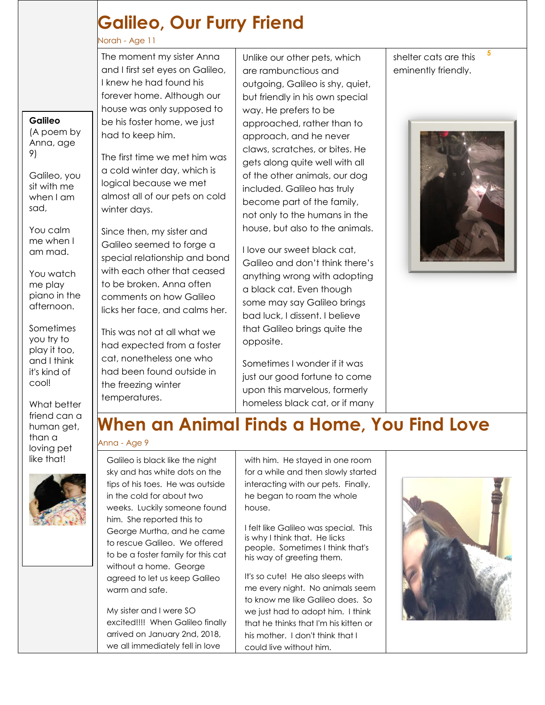# **Galileo, Our Furry Friend**

# Norah - Age 11

**Galileo** (A poem by Anna, age

Galileo, you sit with me when I am

You calm me when I am mad.

You watch me play piano in the afternoon.

**Sometimes** you try to play it too, and I think it's kind of cool!

What better friend can a human get, than a loving pet like that!

9)

sad,

The moment my sister Anna and I first set eyes on Galileo, I knew he had found his forever home. Although our house was only supposed to be his foster home, we just had to keep him.

The first time we met him was a cold winter day, which is logical because we met almost all of our pets on cold winter days.

Since then, my sister and Galileo seemed to forge a special relationship and bond with each other that ceased to be broken. Anna often comments on how Galileo licks her face, and calms her.

This was not at all what we had expected from a foster cat, nonetheless one who had been found outside in the freezing winter temperatures.

Unlike our other pets, which are rambunctious and outgoing, Galileo is shy, quiet, but friendly in his own special way. He prefers to be approached, rather than to approach, and he never claws, scratches, or bites. He gets along quite well with all of the other animals, our dog included. Galileo has truly become part of the family, not only to the humans in the house, but also to the animals.

I love our sweet black cat, Galileo and don't think there's anything wrong with adopting a black cat. Even though some may say Galileo brings bad luck, I dissent. I believe that Galileo brings quite the opposite.

Sometimes I wonder if it was just our good fortune to come upon this marvelous, formerly homeless black cat, or if many shelter cats are this eminently friendly.

**5**



# **When an Animal Finds a Home, You Find Love**

# Anna - Age 9

Galileo is black like the night sky and has white dots on the tips of his toes. He was outside in the cold for about two weeks. Luckily someone found him. She reported this to George Murtha, and he came to rescue Galileo. We offered to be a foster family for this cat without a home. George agreed to let us keep Galileo warm and safe.

My sister and I were SO excited!!!! When Galileo finally arrived on January 2nd, 2018, we all immediately fell in love

with him. He stayed in one room for a while and then slowly started interacting with our pets. Finally, he began to roam the whole house.

I felt like Galileo was special. This is why I think that. He licks people. Sometimes I think that's his way of greeting them.

It's so cute! He also sleeps with me every night. No animals seem to know me like Galileo does. So we just had to adopt him. I think that he thinks that I'm his kitten or his mother. I don't think that I could live without him.

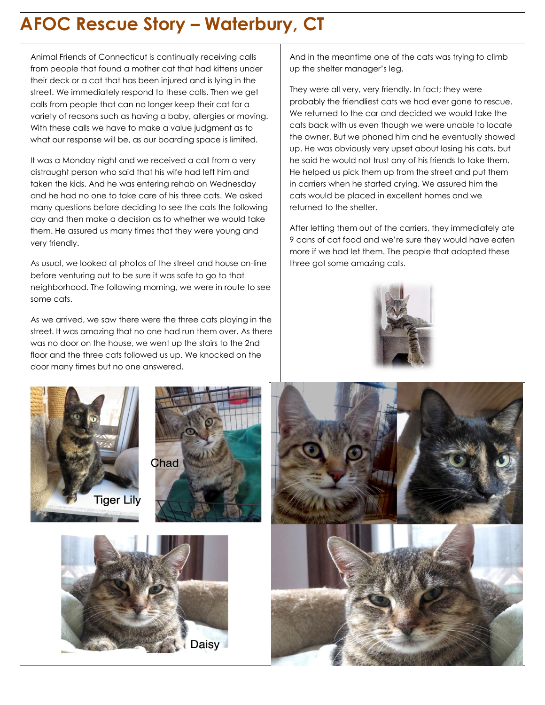# **AFOC Rescue Story – Waterbury, CT**

Animal Friends of Connecticut is continually receiving calls from people that found a mother cat that had kittens under their deck or a cat that has been injured and is lying in the street. We immediately respond to these calls. Then we get calls from people that can no longer keep their cat for a variety of reasons such as having a baby, allergies or moving. With these calls we have to make a value judgment as to what our response will be, as our boarding space is limited.

It was a Monday night and we received a call from a very distraught person who said that his wife had left him and taken the kids. And he was entering rehab on Wednesday and he had no one to take care of his three cats. We asked many questions before deciding to see the cats the following day and then make a decision as to whether we would take them. He assured us many times that they were young and very friendly.

As usual, we looked at photos of the street and house on-line before venturing out to be sure it was safe to go to that neighborhood. The following morning, we were in route to see some cats.

As we arrived, we saw there were the three cats playing in the street. It was amazing that no one had run them over. As there was no door on the house, we went up the stairs to the 2nd floor and the three cats followed us up. We knocked on the door many times but no one answered.

And in the meantime one of the cats was trying to climb up the shelter manager's leg.

They were all very, very friendly. In fact; they were probably the friendliest cats we had ever gone to rescue. We returned to the car and decided we would take the cats back with us even though we were unable to locate the owner. But we phoned him and he eventually showed up. He was obviously very upset about losing his cats, but he said he would not trust any of his friends to take them. He helped us pick them up from the street and put them in carriers when he started crying. We assured him the cats would be placed in excellent homes and we returned to the shelter.

After letting them out of the carriers, they immediately ate 9 cans of cat food and we're sure they would have eaten more if we had let them. The people that adopted these three got some amazing cats.









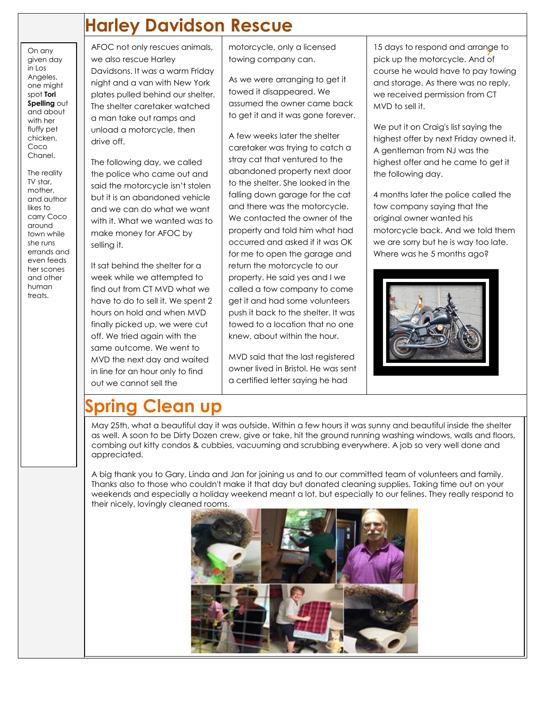# **Harley Davidson Rescue**

On any given day  $in$  Los Angeles, one might spot **Tori Spelling** out and about with her fluffy pet chicken, Coco Chanel.

The reality TV star, mother, and author likes to carry Coco around town while she runs errands and even feeds her scones and other human treats.

AFOC not only rescues animals, we also rescue Harley Davidsons. It was a warm Friday night and a van with New York plates pulled behind our shelter. The shelter caretaker watched a man take out ramps and unload a motorcycle, then drive off.

The following day, we called the police who came out and said the motorcycle isn't stolen but it is an abandoned vehicle and we can do what we want with it. What we wanted was to make money for AFOC by selling it.

It sat behind the shelter for a week while we attempted to find out from CT MVD what we have to do to sell it. We spent 2 hours on hold and when MVD finally picked up, we were cut off. We tried again with the same outcome. We went to MVD the next day and waited in line for an hour only to find out we cannot sell the

motorcycle, only a licensed towing company can.

As we were arranging to get it towed it disappeared. We assumed the owner came back to get it and it was gone forever.

A few weeks later the shelter caretaker was trying to catch a stray cat that ventured to the abandoned property next door to the shelter. She looked in the falling down garage for the cat and there was the motorcycle. We contacted the owner of the property and told him what had occurred and asked if it was OK for me to open the garage and return the motorcycle to our property. He said yes and I we called a tow company to come get it and had some volunteers push it back to the shelter. It was towed to a location that no one knew, about within the hour.

MVD said that the last registered owner lived in Bristol. He was sent a certified letter saying he had

**7** pick up the motorcycle. And of 15 days to respond and arrange to course he would have to pay towing and storage. As there was no reply, we received permission from CT MVD to sell it.

We put it on Craig's list saying the highest offer by next Friday owned it. A gentleman from NJ was the highest offer and he came to get it the following day.

4 months later the police called the tow company saying that the original owner wanted his motorcycle back. And we told them we are sorry but he is way too late. Where was he 5 months ago?



# **Spring Clean up**

May 25th, what a beautiful day it was outside. Within a few hours it was sunny and beautiful inside the shelter as well. A soon to be Dirty Dozen crew, give or take, hit the ground running washing windows, walls and floors, combing out kitty condos & cubbies, vacuuming and scrubbing everywhere. A job so very well done and appreciated.

A big thank you to Gary, Linda and Jan for joining us and to our committed team of volunteers and family. Thanks also to those who couldn't make it that day but donated cleaning supplies. Taking time out on your weekends and especially a holiday weekend meant a lot, but especially to our felines. They really respond to their nicely, lovingly cleaned rooms.